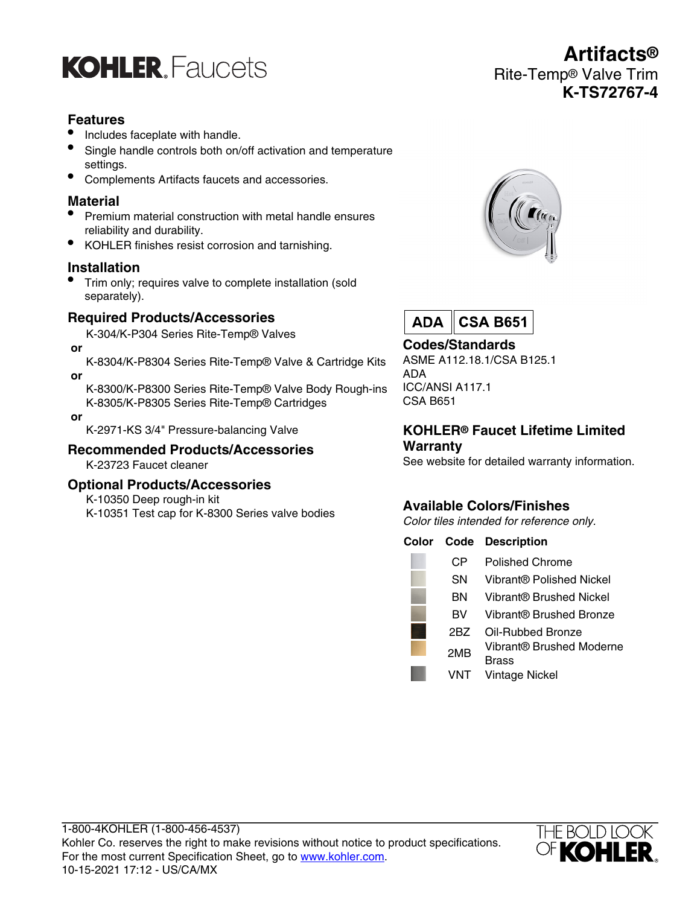

## **Features**

- Includes faceplate with handle.
- Single handle controls both on/off activation and temperature settings.
- Complements Artifacts faucets and accessories.

## **Material**

- Premium material construction with metal handle ensures reliability and durability.
- KOHLER finishes resist corrosion and tarnishing.

#### **Installation**

• Trim only; requires valve to complete installation (sold separately).

## **Required Products/Accessories**

K-304/K-P304 Series Rite-Temp® Valves

 **or**

 **or**

K-8304/K-P8304 Series Rite-Temp® Valve & Cartridge Kits

K-8300/K-P8300 Series Rite-Temp® Valve Body Rough-ins K-8305/K-P8305 Series Rite-Temp® Cartridges

 **or**

K-2971-KS 3/4" Pressure-balancing Valve

#### **Recommended Products/Accessories** K-23723 Faucet cleaner

## **Optional Products/Accessories**

K-10350 Deep rough-in kit

K-10351 Test cap for K-8300 Series valve bodies



**Artifacts®**

**K-TS72767-4**

Rite-Temp® Valve Trim



## **Codes/Standards**

ASME A112.18.1/CSA B125.1 ADA ICC/ANSI A117.1 CSA B651

## **KOHLER® Faucet Lifetime Limited Warranty**

See website for detailed warranty information.

# **Available Colors/Finishes**

Color tiles intended for reference only.

#### **Color Code Description**

I

| СP  | Polished Chrome                   |
|-----|-----------------------------------|
| SΝ  | Vibrant® Polished Nickel          |
| ΒN  | Vibrant® Brushed Nickel           |
| вv  | Vibrant® Brushed Bronze           |
| 2BZ | Oil-Rubbed Bronze                 |
| 2MB | Vibrant® Brushed Moderne<br>Brass |
| VNT | <b>Vintage Nickel</b>             |